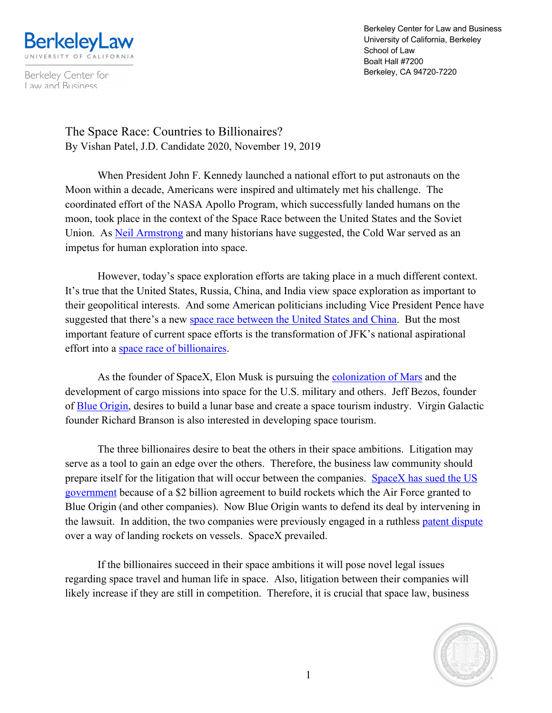

Berkeley Center for Law and Business

Berkeley Center for Law and Business University of California, Berkeley School of Law Boalt Hall #7200 Berkeley, CA 94720-7220

The Space Race: Countries to Billionaires? By Vishan Patel, J.D. Candidate 2020, November 19, 2019

When President John F. Kennedy launched a national effort to put astronauts on the Moon within a decade, Americans were inspired and ultimately met his challenge. The coordinated effort of the NASA Apollo Program, which successfully landed humans on the moon, took place in the context of the Space Race between the United States and the Soviet Union. As Neil Armstrong and many historians have suggested, the Cold War served as an impetus for human exploration into space.

However, today's space exploration efforts are taking place in a much different context. It's true that the United States, Russia, China, and India view space exploration as important to their geopolitical interests. And some American politicians including Vice President Pence have suggested that there's a new space race between the United States and China. But the most important feature of current space efforts is the transformation of JFK's national aspirational effort into a space race of billionaires.

As the founder of SpaceX, Elon Musk is pursuing the colonization of Mars and the development of cargo missions into space for the U.S. military and others. Jeff Bezos, founder of Blue Origin, desires to build a lunar base and create a space tourism industry. Virgin Galactic founder Richard Branson is also interested in developing space tourism.

The three billionaires desire to beat the others in their space ambitions. Litigation may serve as a tool to gain an edge over the others. Therefore, the business law community should prepare itself for the litigation that will occur between the companies. SpaceX has sued the US government because of a \$2 billion agreement to build rockets which the Air Force granted to Blue Origin (and other companies). Now Blue Origin wants to defend its deal by intervening in the lawsuit. In addition, the two companies were previously engaged in a ruthless patent dispute over a way of landing rockets on vessels. SpaceX prevailed.

If the billionaires succeed in their space ambitions it will pose novel legal issues regarding space travel and human life in space. Also, litigation between their companies will likely increase if they are still in competition. Therefore, it is crucial that space law, business